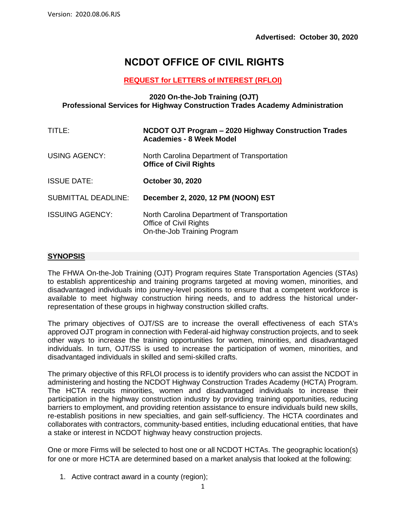# **NCDOT OFFICE OF CIVIL RIGHTS**

#### **REQUEST for LETTERS of INTEREST (RFLOI)**

#### **2020 On-the-Job Training (OJT) Professional Services for Highway Construction Trades Academy Administration**

| TITLE:                     | NCDOT OJT Program - 2020 Highway Construction Trades<br><b>Academies - 8 Week Model</b>              |
|----------------------------|------------------------------------------------------------------------------------------------------|
| USING AGENCY:              | North Carolina Department of Transportation<br><b>Office of Civil Rights</b>                         |
| <b>ISSUE DATE:</b>         | <b>October 30, 2020</b>                                                                              |
| <b>SUBMITTAL DEADLINE:</b> | December 2, 2020, 12 PM (NOON) EST                                                                   |
| <b>ISSUING AGENCY:</b>     | North Carolina Department of Transportation<br>Office of Civil Rights<br>On-the-Job Training Program |

#### **SYNOPSIS**

The FHWA On-the-Job Training (OJT) Program requires State Transportation Agencies (STAs) to establish apprenticeship and training programs targeted at moving women, minorities, and disadvantaged individuals into journey-level positions to ensure that a competent workforce is available to meet highway construction hiring needs, and to address the historical underrepresentation of these groups in highway construction skilled crafts.

The primary objectives of OJT/SS are to increase the overall effectiveness of each STA's approved OJT program in connection with Federal-aid highway construction projects, and to seek other ways to increase the training opportunities for women, minorities, and disadvantaged individuals. In turn, OJT/SS is used to increase the participation of women, minorities, and disadvantaged individuals in skilled and semi-skilled crafts.

The primary objective of this RFLOI process is to identify providers who can assist the NCDOT in administering and hosting the NCDOT Highway Construction Trades Academy (HCTA) Program. The HCTA recruits minorities, women and disadvantaged individuals to increase their participation in the highway construction industry by providing training opportunities, reducing barriers to employment, and providing retention assistance to ensure individuals build new skills, re-establish positions in new specialties, and gain self-sufficiency. The HCTA coordinates and collaborates with contractors, community-based entities, including educational entities, that have a stake or interest in NCDOT highway heavy construction projects.

One or more Firms will be selected to host one or all NCDOT HCTAs. The geographic location(s) for one or more HCTA are determined based on a market analysis that looked at the following:

1. Active contract award in a county (region);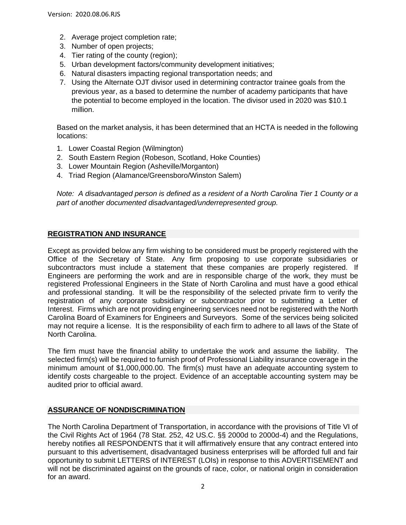- 2. Average project completion rate;
- 3. Number of open projects;
- 4. Tier rating of the county (region);
- 5. Urban development factors/community development initiatives;
- 6. Natural disasters impacting regional transportation needs; and
- 7. Using the Alternate OJT divisor used in determining contractor trainee goals from the previous year, as a based to determine the number of academy participants that have the potential to become employed in the location. The divisor used in 2020 was \$10.1 million.

Based on the market analysis, it has been determined that an HCTA is needed in the following locations:

- 1. Lower Coastal Region (Wilmington)
- 2. South Eastern Region (Robeson, Scotland, Hoke Counties)
- 3. Lower Mountain Region (Asheville/Morganton)
- 4. Triad Region (Alamance/Greensboro/Winston Salem)

*Note: A disadvantaged person is defined as a resident of a North Carolina Tier 1 County or a part of another documented disadvantaged/underrepresented group.*

#### **REGISTRATION AND INSURANCE**

Except as provided below any firm wishing to be considered must be properly registered with the Office of the Secretary of State. Any firm proposing to use corporate subsidiaries or subcontractors must include a statement that these companies are properly registered. If Engineers are performing the work and are in responsible charge of the work, they must be registered Professional Engineers in the State of North Carolina and must have a good ethical and professional standing. It will be the responsibility of the selected private firm to verify the registration of any corporate subsidiary or subcontractor prior to submitting a Letter of Interest. Firms which are not providing engineering services need not be registered with the North Carolina Board of Examiners for Engineers and Surveyors. Some of the services being solicited may not require a license. It is the responsibility of each firm to adhere to all laws of the State of North Carolina.

The firm must have the financial ability to undertake the work and assume the liability. The selected firm(s) will be required to furnish proof of Professional Liability insurance coverage in the minimum amount of \$1,000,000.00. The firm(s) must have an adequate accounting system to identify costs chargeable to the project. Evidence of an acceptable accounting system may be audited prior to official award.

#### **ASSURANCE OF NONDISCRIMINATION**

The North Carolina Department of Transportation, in accordance with the provisions of Title VI of the Civil Rights Act of 1964 (78 Stat. 252, 42 US.C. §§ 2000d to 2000d-4) and the Regulations, hereby notifies all RESPONDENTS that it will affirmatively ensure that any contract entered into pursuant to this advertisement, disadvantaged business enterprises will be afforded full and fair opportunity to submit LETTERS of INTEREST (LOIs) in response to this ADVERTISEMENT and will not be discriminated against on the grounds of race, color, or national origin in consideration for an award.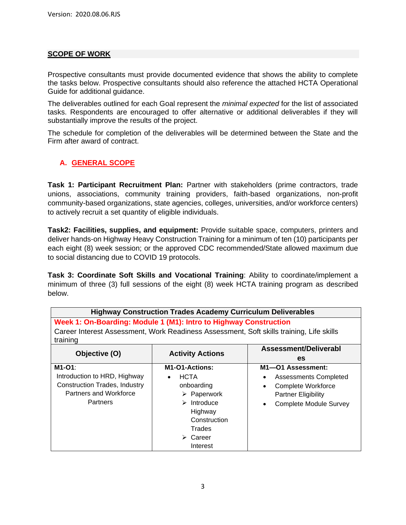#### **SCOPE OF WORK**

Prospective consultants must provide documented evidence that shows the ability to complete the tasks below. Prospective consultants should also reference the attached HCTA Operational Guide for additional guidance.

The deliverables outlined for each Goal represent the *minimal expected* for the list of associated tasks. Respondents are encouraged to offer alternative or additional deliverables if they will substantially improve the results of the project.

The schedule for completion of the deliverables will be determined between the State and the Firm after award of contract.

#### **A. GENERAL SCOPE**

**Task 1: Participant Recruitment Plan:** Partner with stakeholders (prime contractors, trade unions, associations, community training providers, faith-based organizations, non-profit community-based organizations, state agencies, colleges, universities, and/or workforce centers) to actively recruit a set quantity of eligible individuals.

**Task2: Facilities, supplies, and equipment:** Provide suitable space, computers, printers and deliver hands-on Highway Heavy Construction Training for a minimum of ten (10) participants per each eight (8) week session; or the approved CDC recommended/State allowed maximum due to social distancing due to COVID 19 protocols.

**Task 3: Coordinate Soft Skills and Vocational Training**: Ability to coordinate/implement a minimum of three (3) full sessions of the eight (8) week HCTA training program as described below.

| <b>Highway Construction Trades Academy Curriculum Deliverables</b>                                   |                                          |                                            |  |
|------------------------------------------------------------------------------------------------------|------------------------------------------|--------------------------------------------|--|
| Week 1: On-Boarding: Module 1 (M1): Intro to Highway Construction                                    |                                          |                                            |  |
| Career Interest Assessment, Work Readiness Assessment, Soft skills training, Life skills<br>training |                                          |                                            |  |
| Assessment/Deliverabl<br>Objective (O)<br><b>Activity Actions</b>                                    |                                          |                                            |  |
|                                                                                                      |                                          | es                                         |  |
| M1-O1:                                                                                               | M <sub>1</sub> -O <sub>1</sub> -Actions: | M1-01 Assessment:                          |  |
| Introduction to HRD, Highway                                                                         | <b>HCTA</b><br>$\bullet$                 | <b>Assessments Completed</b><br>٠          |  |
| <b>Construction Trades, Industry</b>                                                                 | onboarding                               | Complete Workforce                         |  |
| Partners and Workforce                                                                               | $\triangleright$ Paperwork               | <b>Partner Eligibility</b>                 |  |
| <b>Partners</b>                                                                                      | $\triangleright$ Introduce               | <b>Complete Module Survey</b><br>$\bullet$ |  |
|                                                                                                      | Highway                                  |                                            |  |
|                                                                                                      | Construction                             |                                            |  |
|                                                                                                      | Trades                                   |                                            |  |
|                                                                                                      | $\triangleright$ Career                  |                                            |  |
|                                                                                                      | Interest                                 |                                            |  |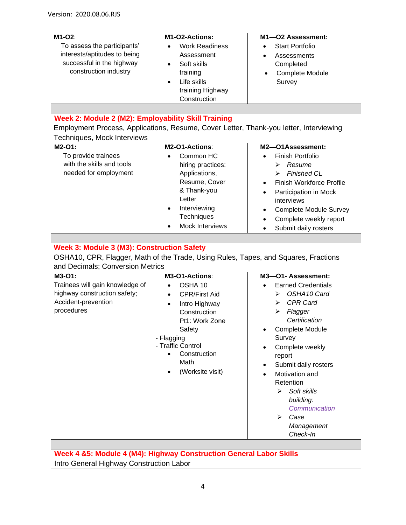| M1-O2:                                                                                 | M1-O2-Actions:         | M1-O2 Assessment:                          |  |
|----------------------------------------------------------------------------------------|------------------------|--------------------------------------------|--|
| To assess the participants'                                                            | <b>Work Readiness</b>  | <b>Start Portfolio</b><br>$\bullet$        |  |
| interests/aptitudes to being                                                           | Assessment             | Assessments                                |  |
| successful in the highway                                                              | Soft skills            | Completed                                  |  |
| construction industry                                                                  | training               | Complete Module<br>$\bullet$               |  |
|                                                                                        | Life skills            | Survey                                     |  |
|                                                                                        | training Highway       |                                            |  |
|                                                                                        | Construction           |                                            |  |
|                                                                                        |                        |                                            |  |
| Week 2: Module 2 (M2): Employability Skill Training                                    |                        |                                            |  |
| Employment Process, Applications, Resume, Cover Letter, Thank-you letter, Interviewing |                        |                                            |  |
| Techniques, Mock Interviews                                                            |                        |                                            |  |
| M2-O1:                                                                                 | M2-O1-Actions:         | M2-O1Assessment:                           |  |
| To provide trainees                                                                    | Common HC              | <b>Finish Portfolio</b>                    |  |
| with the skills and tools                                                              | hiring practices:      | Resume<br>⋗                                |  |
| needed for employment                                                                  | Applications,          | <b>Finished CL</b><br>⋗                    |  |
|                                                                                        | Resume, Cover          | Finish Workforce Profile                   |  |
|                                                                                        | & Thank-you            | Participation in Mock                      |  |
|                                                                                        | Letter                 | interviews                                 |  |
|                                                                                        | Interviewing           | <b>Complete Module Survey</b><br>$\bullet$ |  |
|                                                                                        | Techniques             | Complete weekly report<br>$\bullet$        |  |
|                                                                                        | <b>Mock Interviews</b> | Submit daily rosters<br>$\bullet$          |  |
|                                                                                        |                        |                                            |  |
| Week 3: Module 3 (M3): Construction Safety                                             |                        |                                            |  |
| OSHA10, CPR, Flagger, Math of the Trade, Using Rules, Tapes, and Squares, Fractions    |                        |                                            |  |
| and Decimals; Conversion Metrics                                                       |                        |                                            |  |
| M3-O1:                                                                                 | M3-O1-Actions:         | M3-O1- Assessment:                         |  |
| Trainees will gain knowledge of                                                        | OSHA 10<br>$\bullet$   | <b>Earned Credentials</b>                  |  |
| highway construction safety;                                                           | <b>CPR/First Aid</b>   | OSHA10 Card<br>⋗                           |  |
| Accident-prevention                                                                    | Intro Highway          | <b>CPR Card</b><br>⋗                       |  |
| procedures                                                                             | Construction           | Flagger<br>⋗                               |  |
|                                                                                        | Pt1: Work Zone         | Certification                              |  |
|                                                                                        | Safety                 | Complete Module                            |  |
|                                                                                        | - Flagging             | Survey                                     |  |
|                                                                                        | - Traffic Control      | Complete weekly                            |  |
|                                                                                        | Construction           | report                                     |  |
|                                                                                        | Math                   | Submit daily rosters<br>٠                  |  |
|                                                                                        | (Worksite visit)       | Motivation and<br>$\bullet$                |  |
|                                                                                        |                        | Retention                                  |  |
|                                                                                        |                        | Soft skills<br>⋗                           |  |
|                                                                                        |                        | building:                                  |  |
|                                                                                        |                        | Communication                              |  |
|                                                                                        |                        | ⋗<br>Case                                  |  |
|                                                                                        |                        | Management                                 |  |
|                                                                                        |                        | Check-In                                   |  |
|                                                                                        |                        |                                            |  |
| Week 4 &5: Module 4 (M4): Highway Construction General Labor Skills                    |                        |                                            |  |

Intro General Highway Construction Labor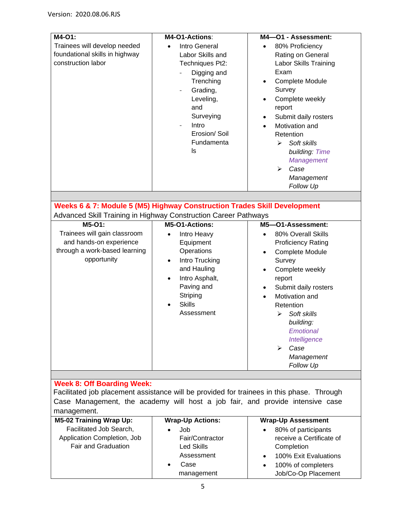| M4-01:<br>Trainees will develop needed                                                    | M4-O1-Actions:<br>Intro General | M4-O1 - Assessment:                               |  |
|-------------------------------------------------------------------------------------------|---------------------------------|---------------------------------------------------|--|
| foundational skills in highway                                                            | Labor Skills and                | 80% Proficiency<br>$\bullet$<br>Rating on General |  |
| construction labor                                                                        | Techniques Pt2:                 | Labor Skills Training                             |  |
|                                                                                           |                                 | Exam                                              |  |
|                                                                                           | Digging and                     |                                                   |  |
|                                                                                           | Trenching                       | Complete Module<br>$\bullet$                      |  |
|                                                                                           | Grading,                        | Survey                                            |  |
|                                                                                           | Leveling,                       | Complete weekly                                   |  |
|                                                                                           | and                             | report                                            |  |
|                                                                                           | Surveying                       | Submit daily rosters<br>$\bullet$                 |  |
|                                                                                           | Intro<br>$\blacksquare$         | Motivation and                                    |  |
|                                                                                           | Erosion/Soil                    | Retention                                         |  |
|                                                                                           | Fundamenta                      | Soft skills<br>➤                                  |  |
|                                                                                           | ls                              | building: Time                                    |  |
|                                                                                           |                                 | <b>Management</b>                                 |  |
|                                                                                           |                                 | Case<br>↘                                         |  |
|                                                                                           |                                 | Management                                        |  |
|                                                                                           |                                 | <b>Follow Up</b>                                  |  |
|                                                                                           |                                 |                                                   |  |
| Weeks 6 & 7: Module 5 (M5) Highway Construction Trades Skill Development                  |                                 |                                                   |  |
| Advanced Skill Training in Highway Construction Career Pathways                           |                                 |                                                   |  |
| $M5-O1$ :                                                                                 | M5-O1-Actions:                  | M5-O1-Assessment:                                 |  |
| Trainees will gain classroom                                                              | Intro Heavy<br>$\bullet$        | 80% Overall Skills<br>$\bullet$                   |  |
| and hands-on experience                                                                   | Equipment                       | <b>Proficiency Rating</b>                         |  |
| through a work-based learning                                                             | Operations                      | Complete Module<br>$\bullet$                      |  |
| opportunity                                                                               | Intro Trucking<br>$\bullet$     | Survey                                            |  |
|                                                                                           | and Hauling                     | Complete weekly                                   |  |
|                                                                                           | Intro Asphalt,                  | report                                            |  |
|                                                                                           | Paving and                      | Submit daily rosters<br>٠                         |  |
|                                                                                           | Striping                        | Motivation and                                    |  |
|                                                                                           | <b>Skills</b>                   | Retention                                         |  |
|                                                                                           | Assessment                      | Soft skills<br>↘                                  |  |
|                                                                                           |                                 | building:                                         |  |
|                                                                                           |                                 | Emotional                                         |  |
|                                                                                           |                                 | Intelligence                                      |  |
|                                                                                           |                                 | Case<br>⋗                                         |  |
|                                                                                           |                                 | Management                                        |  |
|                                                                                           |                                 | <b>Follow Up</b>                                  |  |
|                                                                                           |                                 |                                                   |  |
| <b>Week 8: Off Boarding Week:</b>                                                         |                                 |                                                   |  |
| Facilitated job placement assistance will be provided for trainees in this phase. Through |                                 |                                                   |  |
| Case Management, the academy will host a job fair, and provide intensive case             |                                 |                                                   |  |
| management.                                                                               |                                 |                                                   |  |
| <b>M5-02 Training Wrap Up:</b>                                                            | <b>Wrap-Up Actions:</b>         | <b>Wrap-Up Assessment</b>                         |  |
| Facilitated Job Search,                                                                   | Job                             | 80% of participants                               |  |
| Application Completion, Job                                                               | Fair/Contractor                 | receive a Certificate of                          |  |
| <b>Fair and Graduation</b>                                                                | <b>Led Skills</b>               | Completion                                        |  |
|                                                                                           | Accaccmant                      | 100% Evit Evaluations                             |  |

Assessment • Case management • 100% Exit Evaluations • 100% of completers Job/Co-Op Placement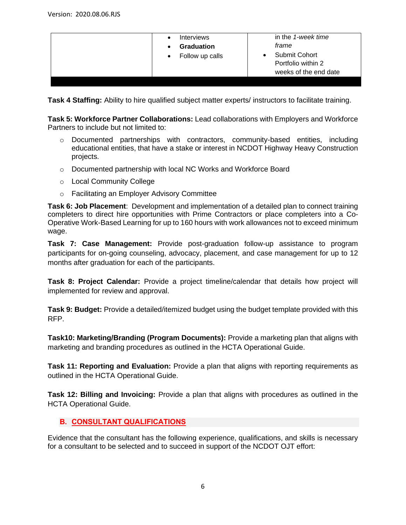| <b>Interviews</b><br><b>Graduation</b><br>Follow up calls<br>$\bullet$ | in the 1-week time<br>frame<br>Submit Cohort<br>$\bullet$<br>Portfolio within 2<br>weeks of the end date |
|------------------------------------------------------------------------|----------------------------------------------------------------------------------------------------------|
|------------------------------------------------------------------------|----------------------------------------------------------------------------------------------------------|

**Task 4 Staffing:** Ability to hire qualified subject matter experts/ instructors to facilitate training.

**Task 5: Workforce Partner Collaborations:** Lead collaborations with Employers and Workforce Partners to include but not limited to:

- o Documented partnerships with contractors, community-based entities, including educational entities, that have a stake or interest in NCDOT Highway Heavy Construction projects.
- o Documented partnership with local NC Works and Workforce Board
- o Local Community College
- o Facilitating an Employer Advisory Committee

**Task 6: Job Placement**: Development and implementation of a detailed plan to connect training completers to direct hire opportunities with Prime Contractors or place completers into a Co-Operative Work-Based Learning for up to 160 hours with work allowances not to exceed minimum wage.

**Task 7: Case Management:** Provide post-graduation follow-up assistance to program participants for on-going counseling, advocacy, placement, and case management for up to 12 months after graduation for each of the participants.

**Task 8: Project Calendar:** Provide a project timeline/calendar that details how project will implemented for review and approval.

**Task 9: Budget:** Provide a detailed/itemized budget using the budget template provided with this RFP.

**Task10: Marketing/Branding (Program Documents):** Provide a marketing plan that aligns with marketing and branding procedures as outlined in the HCTA Operational Guide.

**Task 11: Reporting and Evaluation:** Provide a plan that aligns with reporting requirements as outlined in the HCTA Operational Guide.

**Task 12: Billing and Invoicing:** Provide a plan that aligns with procedures as outlined in the HCTA Operational Guide.

#### **B. CONSULTANT QUALIFICATIONS**

Evidence that the consultant has the following experience, qualifications, and skills is necessary for a consultant to be selected and to succeed in support of the NCDOT OJT effort: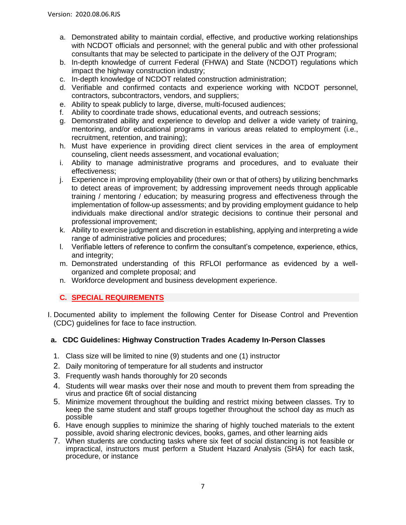- a. Demonstrated ability to maintain cordial, effective, and productive working relationships with NCDOT officials and personnel; with the general public and with other professional consultants that may be selected to participate in the delivery of the OJT Program;
- b. In-depth knowledge of current Federal (FHWA) and State (NCDOT) regulations which impact the highway construction industry;
- c. In-depth knowledge of NCDOT related construction administration;
- d. Verifiable and confirmed contacts and experience working with NCDOT personnel, contractors, subcontractors, vendors, and suppliers;
- e. Ability to speak publicly to large, diverse, multi-focused audiences;
- f. Ability to coordinate trade shows, educational events, and outreach sessions;
- g. Demonstrated ability and experience to develop and deliver a wide variety of training, mentoring, and/or educational programs in various areas related to employment (i.e., recruitment, retention, and training);
- h. Must have experience in providing direct client services in the area of employment counseling, client needs assessment, and vocational evaluation;
- i. Ability to manage administrative programs and procedures, and to evaluate their effectiveness;
- j. Experience in improving employability (their own or that of others) by utilizing benchmarks to detect areas of improvement; by addressing improvement needs through applicable training / mentoring / education; by measuring progress and effectiveness through the implementation of follow-up assessments; and by providing employment guidance to help individuals make directional and/or strategic decisions to continue their personal and professional improvement;
- k. Ability to exercise judgment and discretion in establishing, applying and interpreting a wide range of administrative policies and procedures;
- l. Verifiable letters of reference to confirm the consultant's competence, experience, ethics, and integrity;
- m. Demonstrated understanding of this RFLOI performance as evidenced by a wellorganized and complete proposal; and
- n. Workforce development and business development experience.

#### **C. SPECIAL REQUIREMENTS**

I. Documented ability to implement the following Center for Disease Control and Prevention (CDC) guidelines for face to face instruction.

#### **a. CDC Guidelines: Highway Construction Trades Academy In-Person Classes**

- 1. Class size will be limited to nine (9) students and one (1) instructor
- 2. Daily monitoring of temperature for all students and instructor
- 3. Frequently wash hands thoroughly for 20 seconds
- 4. Students will wear masks over their nose and mouth to prevent them from spreading the virus and practice 6ft of social distancing
- 5. Minimize movement throughout the building and restrict mixing between classes. Try to keep the same student and staff groups together throughout the school day as much as possible
- 6. Have enough supplies to minimize the sharing of highly touched materials to the extent possible, avoid sharing electronic devices, books, games, and other learning aids
- 7. When students are conducting tasks where six feet of social distancing is not feasible or impractical, instructors must perform a Student Hazard Analysis (SHA) for each task, procedure, or instance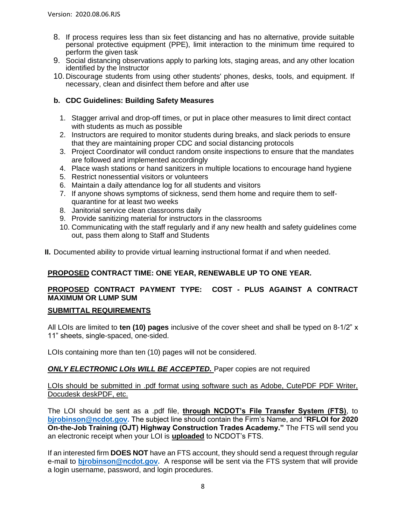- 8. If process requires less than six feet distancing and has no alternative, provide suitable personal protective equipment (PPE), limit interaction to the minimum time required to perform the given task
- 9. Social distancing observations apply to parking lots, staging areas, and any other location identified by the Instructor
- 10. Discourage students from using other students' phones, desks, tools, and equipment. If necessary, clean and disinfect them before and after use

#### **b. CDC Guidelines: Building Safety Measures**

- 1. Stagger arrival and drop-off times, or put in place other measures to limit direct contact with students as much as possible
- 2. Instructors are required to monitor students during breaks, and slack periods to ensure that they are maintaining proper CDC and social distancing protocols
- 3. Project Coordinator will conduct random onsite inspections to ensure that the mandates are followed and implemented accordingly
- 4. Place wash stations or hand sanitizers in multiple locations to encourage hand hygiene
- 5. Restrict nonessential visitors or volunteers
- 6. Maintain a daily attendance log for all students and visitors
- 7. If anyone shows symptoms of sickness, send them home and require them to selfquarantine for at least two weeks
- 8. Janitorial service clean classrooms daily
- 9. Provide sanitizing material for instructors in the classrooms
- 10. Communicating with the staff regularly and if any new health and safety guidelines come out, pass them along to Staff and Students
- **II.** Documented ability to provide virtual learning instructional format if and when needed.

#### **PROPOSED CONTRACT TIME: ONE YEAR, RENEWABLE UP TO ONE YEAR.**

#### **PROPOSED CONTRACT PAYMENT TYPE: COST - PLUS AGAINST A CONTRACT MAXIMUM OR LUMP SUM**

#### **SUBMITTAL REQUIREMENTS**

All LOIs are limited to **ten (10) pages** inclusive of the cover sheet and shall be typed on 8-1/2" x 11" sheets, single-spaced, one-sided.

LOIs containing more than ten (10) pages will not be considered.

#### *ONLY ELECTRONIC LOIs WILL BE ACCEPTED.* Paper copies are not required

LOIs should be submitted in .pdf format using software such as Adobe, CutePDF PDF Writer, Docudesk deskPDF, etc.

The LOI should be sent as a .pdf file, **through NCDOT's File Transfer System (FTS)**, to **[bjrobinson@ncdot.gov.](mailto:bjrobinson@ncdot.gov)** The subject line should contain the Firm's Name, and "**RFLOI for 2020 On-the-Job Training (OJT) Highway Construction Trades Academy."** The FTS will send you an electronic receipt when your LOI is **uploaded** to NCDOT's FTS.

If an interested firm **DOES NOT** have an FTS account, they should send a request through regular e-mail to **[bjrobinson@ncdot.gov.](mailto:bjrobinson@ncdot.gov)** A response will be sent via the FTS system that will provide a login username, password, and login procedures.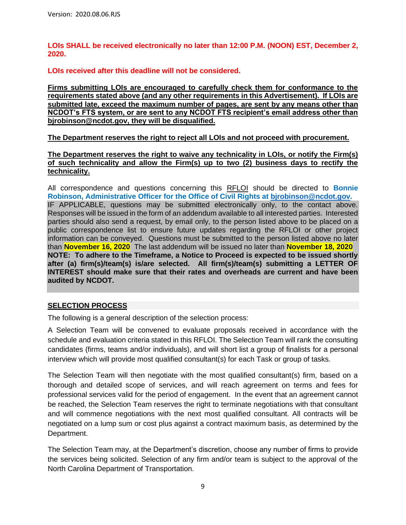**LOIs SHALL be received electronically no later than 12:00 P.M. (NOON) EST, December 2, 2020.**

**LOIs received after this deadline will not be considered.**

**Firms submitting LOIs are encouraged to carefully check them for conformance to the requirements stated above (and any other requirements in this Advertisement). If LOIs are submitted late, exceed the maximum number of pages, are sent by any means other than NCDOT's FTS system, or are sent to any NCDOT FTS recipient's email address other than bjrobinson@ncdot.gov, they will be disqualified.**

**The Department reserves the right to reject all LOIs and not proceed with procurement.**

**The Department reserves the right to waive any technicality in LOIs, or notify the Firm(s) of such technicality and allow the Firm(s) up to two (2) business days to rectify the technicality.**

All correspondence and questions concerning this RFLOI should be directed to **Bonnie Robinson, Administrative Officer for the Office of Civil Rights at [bjrobinson@ncdot.gov.](mailto:bjrobinson@ncdot.gov)** IF APPLICABLE, questions may be submitted electronically only, to the contact above. Responses will be issued in the form of an addendum available to all interested parties. Interested parties should also send a request, by email only, to the person listed above to be placed on a public correspondence list to ensure future updates regarding the RFLOI or other project information can be conveyed. Questions must be submitted to the person listed above no later than **November 16, 2020** The last addendum will be issued no later than **November 18, 2020 NOTE: To adhere to the Timeframe, a Notice to Proceed is expected to be issued shortly after (a) firm(s)/team(s) is/are selected. All firm(s)/team(s) submitting a LETTER OF INTEREST should make sure that their rates and overheads are current and have been audited by NCDOT.**

#### **SELECTION PROCESS**

The following is a general description of the selection process:

A Selection Team will be convened to evaluate proposals received in accordance with the schedule and evaluation criteria stated in this RFLOI. The Selection Team will rank the consulting candidates (firms, teams and/or individuals), and will short list a group of finalists for a personal interview which will provide most qualified consultant(s) for each Task or group of tasks.

The Selection Team will then negotiate with the most qualified consultant(s) firm, based on a thorough and detailed scope of services, and will reach agreement on terms and fees for professional services valid for the period of engagement. In the event that an agreement cannot be reached, the Selection Team reserves the right to terminate negotiations with that consultant and will commence negotiations with the next most qualified consultant. All contracts will be negotiated on a lump sum or cost plus against a contract maximum basis, as determined by the Department.

The Selection Team may, at the Department's discretion, choose any number of firms to provide the services being solicited. Selection of any firm and/or team is subject to the approval of the North Carolina Department of Transportation.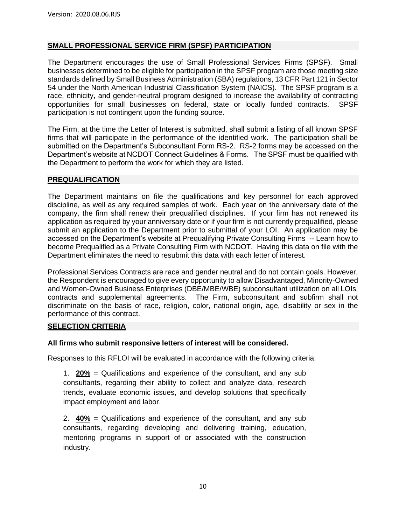#### **SMALL PROFESSIONAL SERVICE FIRM (SPSF) PARTICIPATION**

The Department encourages the use of Small Professional Services Firms (SPSF). Small businesses determined to be eligible for participation in the SPSF program are those meeting size standards defined by Small Business Administration (SBA) regulations, 13 CFR Part 121 in Sector 54 under the North American Industrial Classification System (NAICS). The SPSF program is a race, ethnicity, and gender-neutral program designed to increase the availability of contracting opportunities for small businesses on federal, state or locally funded contracts. SPSF participation is not contingent upon the funding source.

The Firm, at the time the Letter of Interest is submitted, shall submit a listing of all known SPSF firms that will participate in the performance of the identified work. The participation shall be submitted on the Department's Subconsultant Form RS-2. RS-2 forms may be accessed on the Department's website at NCDOT Connect Guidelines & Forms. The SPSF must be qualified with the Department to perform the work for which they are listed.

#### **PREQUALIFICATION**

The Department maintains on file the qualifications and key personnel for each approved discipline, as well as any required samples of work. Each year on the anniversary date of the company, the firm shall renew their prequalified disciplines. If your firm has not renewed its application as required by your anniversary date or if your firm is not currently prequalified, please submit an application to the Department prior to submittal of your LOI. An application may be accessed on the Department's website at Prequalifying Private Consulting Firms -- Learn how to become Prequalified as a Private Consulting Firm with NCDOT. Having this data on file with the Department eliminates the need to resubmit this data with each letter of interest.

Professional Services Contracts are race and gender neutral and do not contain goals. However, the Respondent is encouraged to give every opportunity to allow Disadvantaged, Minority-Owned and Women-Owned Business Enterprises (DBE/MBE/WBE) subconsultant utilization on all LOIs, contracts and supplemental agreements. The Firm, subconsultant and subfirm shall not discriminate on the basis of race, religion, color, national origin, age, disability or sex in the performance of this contract.

#### **SELECTION CRITERIA**

#### **All firms who submit responsive letters of interest will be considered.**

Responses to this RFLOI will be evaluated in accordance with the following criteria:

1. **20%** = Qualifications and experience of the consultant, and any sub consultants, regarding their ability to collect and analyze data, research trends, evaluate economic issues, and develop solutions that specifically impact employment and labor.

2. **40%** = Qualifications and experience of the consultant, and any sub consultants, regarding developing and delivering training, education, mentoring programs in support of or associated with the construction industry.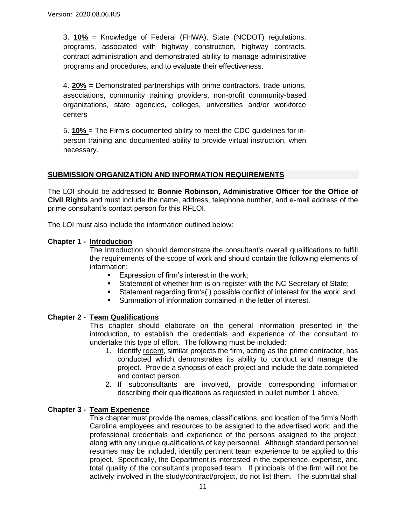3. **10%** = Knowledge of Federal (FHWA), State (NCDOT) regulations, programs, associated with highway construction, highway contracts, contract administration and demonstrated ability to manage administrative programs and procedures, and to evaluate their effectiveness.

4. **20%** = Demonstrated partnerships with prime contractors, trade unions, associations, community training providers, non-profit community-based organizations, state agencies, colleges, universities and/or workforce centers

5. **10%** = The Firm's documented ability to meet the CDC guidelines for inperson training and documented ability to provide virtual instruction, when necessary.

#### **SUBMISSION ORGANIZATION AND INFORMATION REQUIREMENTS**

The LOI should be addressed to **Bonnie Robinson, Administrative Officer for the Office of Civil Rights** and must include the name, address, telephone number, and e-mail address of the prime consultant's contact person for this RFLOI.

The LOI must also include the information outlined below:

#### **Chapter 1 - Introduction**

The Introduction should demonstrate the consultant's overall qualifications to fulfill the requirements of the scope of work and should contain the following elements of information:

- Expression of firm's interest in the work;
- Statement of whether firm is on register with the NC Secretary of State;
- Statement regarding firm's(') possible conflict of interest for the work; and
- Summation of information contained in the letter of interest.

#### **Chapter 2 - Team Qualifications**

This chapter should elaborate on the general information presented in the introduction, to establish the credentials and experience of the consultant to undertake this type of effort. The following must be included:

- 1. Identify recent, similar projects the firm, acting as the prime contractor, has conducted which demonstrates its ability to conduct and manage the project. Provide a synopsis of each project and include the date completed and contact person.
- 2. If subconsultants are involved, provide corresponding information describing their qualifications as requested in bullet number 1 above.

#### **Chapter 3 - Team Experience**

This chapter must provide the names, classifications, and location of the firm's North Carolina employees and resources to be assigned to the advertised work; and the professional credentials and experience of the persons assigned to the project, along with any unique qualifications of key personnel. Although standard personnel resumes may be included, identify pertinent team experience to be applied to this project. Specifically, the Department is interested in the experience, expertise, and total quality of the consultant's proposed team. If principals of the firm will not be actively involved in the study/contract/project, do not list them. The submittal shall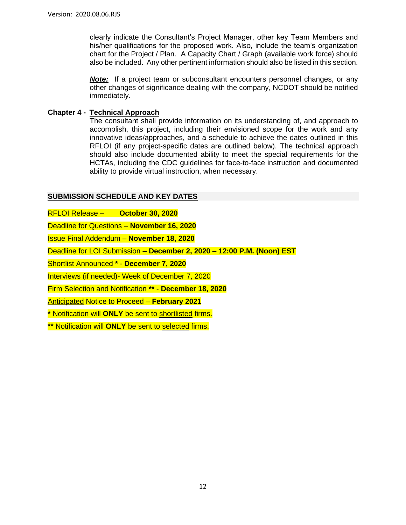clearly indicate the Consultant's Project Manager, other key Team Members and his/her qualifications for the proposed work. Also, include the team's organization chart for the Project / Plan. A Capacity Chart / Graph (available work force) should also be included. Any other pertinent information should also be listed in this section.

*Note:* If a project team or subconsultant encounters personnel changes, or any other changes of significance dealing with the company, NCDOT should be notified immediately.

#### **Chapter 4 - Technical Approach**

The consultant shall provide information on its understanding of, and approach to accomplish, this project, including their envisioned scope for the work and any innovative ideas/approaches, and a schedule to achieve the dates outlined in this RFLOI (if any project-specific dates are outlined below). The technical approach should also include documented ability to meet the special requirements for the HCTAs, including the CDC guidelines for face-to-face instruction and documented ability to provide virtual instruction, when necessary.

#### **SUBMISSION SCHEDULE AND KEY DATES**

RFLOI Release – **October 30, 2020**

Deadline for Questions – **November 16, 2020**

Issue Final Addendum – **November 18, 2020**

Deadline for LOI Submission – **December 2, 2020 – 12:00 P.M. (Noon) EST**

Shortlist Announced **\*** - **December 7, 2020**

Interviews (if needed)- Week of December 7, 2020

Firm Selection and Notification **\*\*** - **December 18, 2020**

Anticipated Notice to Proceed – **February 2021**

**\*** Notification will **ONLY** be sent to shortlisted firms.

**\*\*** Notification will **ONLY** be sent to selected firms.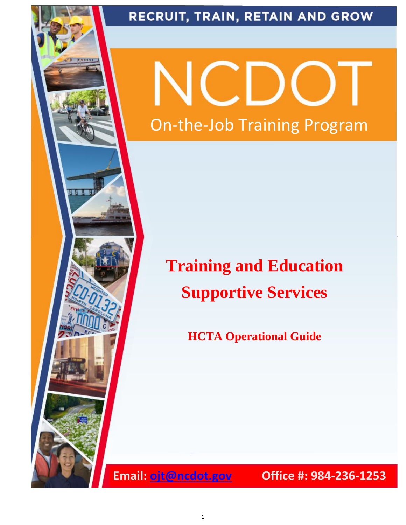

# RECRUIT, TRAIN, RETAIN AND GROW

On-the-Job Training Program

# **Training and Education Supportive Services**

**HCTA Operational Guide**

**Email: [ojt@ncdot.gov](mailto:ojt@ncdot.gov) Office #: 984-236-1253**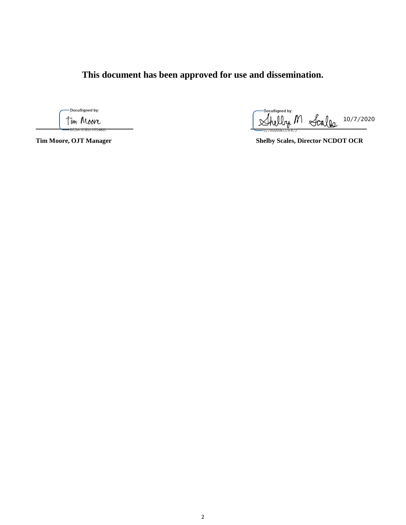**This document has been approved for use and dissemination.**

DocuSigned by:

DocuSigned by: Tin Moore 10/7/2020

**Tim Moore, OJT Manager Shelby Scales, Director NCDOT OCR**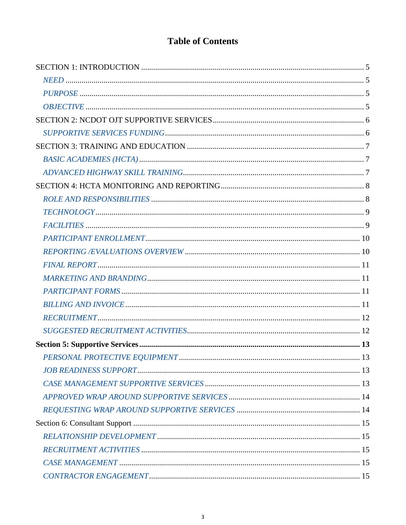# **Table of Contents**

| 13 |
|----|
|    |
|    |
|    |
|    |
|    |
|    |
|    |
|    |
|    |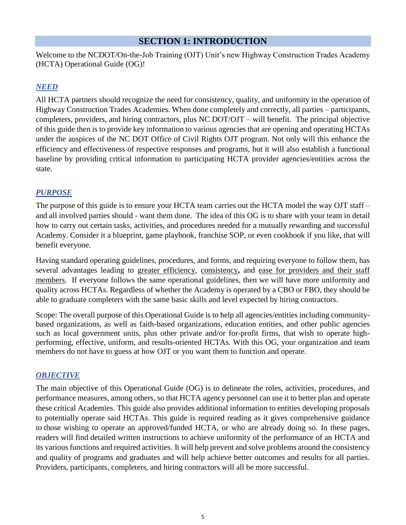# **SECTION 1: INTRODUCTION**

Welcome to the NCDOT/On-the-Job Training (OJT) Unit's new Highway Construction Trades Academy (HCTA) Operational Guide (OG)!

#### *NEED*

All HCTA partners should recognize the need for consistency, quality, and uniformity in the operation of Highway Construction Trades Academies. When done completely and correctly, all parties – participants, completers, providers, and hiring contractors, plus NC DOT/OJT – will benefit. The principal objective of this guide then is to provide key information to various agencies that are opening and operating HCTAs under the auspices of the NC DOT Office of Civil Rights OJT program. Not only will this enhance the efficiency and effectiveness of respective responses and programs, but it will also establish a functional baseline by providing critical information to participating HCTA provider agencies/entities across the state.

#### *PURPOSE*

The purpose of this guide is to ensure your HCTA team carries out the HCTA model the way OJT staff – and all involved parties should - want them done. The idea of this OG is to share with your team in detail how to carry out certain tasks, activities, and procedures needed for a mutually rewarding and successful Academy. Consider it a blueprint, game playbook, franchise SOP, or even cookbook if you like, that will benefit everyone.

Having standard operating guidelines, procedures, and forms, and requiring everyone to follow them, has several advantages leading to greater efficiency, consistency**,** and ease for providers and their staff members. If everyone follows the same operational guidelines, then we will have more uniformity and quality across HCTAs. Regardless of whether the Academy is operated by a CBO or FBO, they should be able to graduate completers with the same basic skills and level expected by hiring contractors.

Scope: The overall purpose of this Operational Guide is to help all agencies/entities including communitybased organizations, as well as faith-based organizations, education entities, and other public agencies such as local government units, plus other private and/or for-profit firms, that wish to operate highperforming, effective, uniform, and results-oriented HCTAs. With this OG, your organization and team members do not have to guess at how OJT or you want them to function and operate.

#### *OBJECTIVE*

The main objective of this Operational Guide (OG) is to delineate the roles, activities, procedures, and performance measures, among others, so that HCTA agency personnel can use it to better plan and operate these critical Academies. This guide also provides additional information to entities developing proposals to potentially operate said HCTAs. This guide is required reading as it gives comprehensive guidance to those wishing to operate an approved/funded HCTA, or who are already doing so. In these pages, readers will find detailed written instructions to achieve uniformity of the performance of an HCTA and its various functions and required activities. It will help prevent and solve problems around the consistency and quality of programs and graduates and will help achieve better outcomes and results for all parties. Providers, participants, completers, and hiring contractors will all be more successful.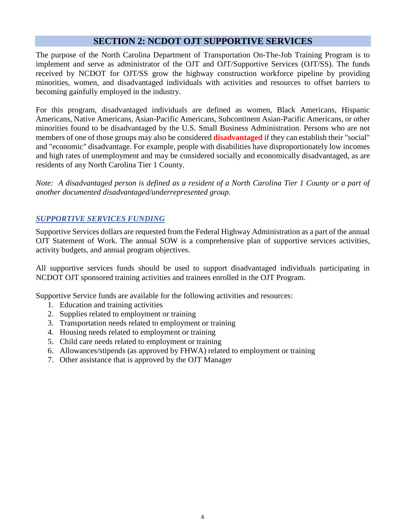# **SECTION 2: NCDOT OJT SUPPORTIVE SERVICES**

The purpose of the North Carolina Department of Transportation On-The-Job Training Program is to implement and serve as administrator of the OJT and OJT/Supportive Services (OJT/SS). The funds received by NCDOT for OJT/SS grow the highway construction workforce pipeline by providing minorities, women, and disadvantaged individuals with activities and resources to offset barriers to becoming gainfully employed in the industry.

For this program, disadvantaged individuals are defined as women, Black Americans, Hispanic Americans, Native Americans, Asian-Pacific Americans, Subcontinent Asian-Pacific Americans, or other minorities found to be disadvantaged by the U.S. Small Business Administration. Persons who are not members of one of those groups may also be considered **disadvantaged** if they can establish their "social" and "economic" disadvantage. For example, people with disabilities have disproportionately low incomes and high rates of unemployment and may be considered socially and economically disadvantaged, as are residents of any North Carolina Tier 1 County.

*Note: A disadvantaged person is defined as a resident of a North Carolina Tier 1 County or a part of another documented disadvantaged/underrepresented group.*

#### *SUPPORTIVE SERVICES FUNDING*

Supportive Services dollars are requested from the Federal Highway Administration as a part of the annual OJT Statement of Work. The annual SOW is a comprehensive plan of supportive services activities, activity budgets, and annual program objectives.

All supportive services funds should be used to support disadvantaged individuals participating in NCDOT OJT sponsored training activities and trainees enrolled in the OJT Program.

Supportive Service funds are available for the following activities and resources:

- 1. Education and training activities
- 2. Supplies related to employment or training
- 3. Transportation needs related to employment or training
- 4. Housing needs related to employment or training
- 5. Child care needs related to employment or training
- 6. Allowances/stipends (as approved by FHWA) related to employment or training
- 7. Other assistance that is approved by the OJT Manager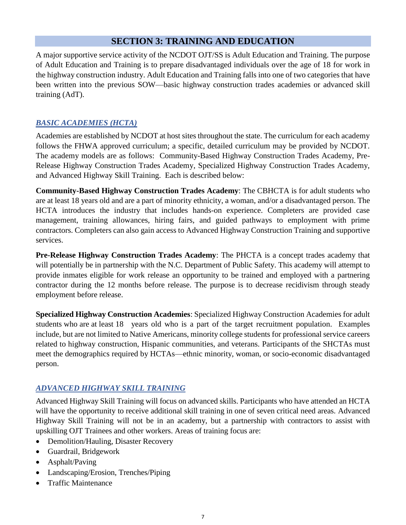# **SECTION 3: TRAINING AND EDUCATION**

A major supportive service activity of the NCDOT OJT/SS is Adult Education and Training. The purpose of Adult Education and Training is to prepare disadvantaged individuals over the age of 18 for work in the highway construction industry. Adult Education and Training falls into one of two categories that have been written into the previous SOW—basic highway construction trades academies or advanced skill training (AdT).

# *BASIC ACADEMIES (HCTA)*

Academies are established by NCDOT at host sites throughout the state. The curriculum for each academy follows the FHWA approved curriculum; a specific, detailed curriculum may be provided by NCDOT. The academy models are as follows: Community-Based Highway Construction Trades Academy, Pre-Release Highway Construction Trades Academy, Specialized Highway Construction Trades Academy, and Advanced Highway Skill Training. Each is described below:

**Community-Based Highway Construction Trades Academy**: The CBHCTA is for adult students who are at least 18 years old and are a part of minority ethnicity, a woman, and/or a disadvantaged person. The HCTA introduces the industry that includes hands-on experience. Completers are provided case management, training allowances, hiring fairs, and guided pathways to employment with prime contractors. Completers can also gain access to Advanced Highway Construction Training and supportive services.

**Pre-Release Highway Construction Trades Academy**: The PHCTA is a concept trades academy that will potentially be in partnership with the N.C. Department of Public Safety. This academy will attempt to provide inmates eligible for work release an opportunity to be trained and employed with a partnering contractor during the 12 months before release. The purpose is to decrease recidivism through steady employment before release.

**Specialized Highway Construction Academies**: Specialized Highway Construction Academies for adult students who are at least 18 years old who is a part of the target recruitment population. Examples include, but are not limited to Native Americans, minority college students for professional service careers related to highway construction, Hispanic communities, and veterans. Participants of the SHCTAs must meet the demographics required by HCTAs—ethnic minority, woman, or socio-economic disadvantaged person.

# *ADVANCED HIGHWAY SKILL TRAINING*

Advanced Highway Skill Training will focus on advanced skills. Participants who have attended an HCTA will have the opportunity to receive additional skill training in one of seven critical need areas. Advanced Highway Skill Training will not be in an academy, but a partnership with contractors to assist with upskilling OJT Trainees and other workers. Areas of training focus are:

- Demolition/Hauling, Disaster Recovery
- Guardrail, Bridgework
- Asphalt/Paving
- Landscaping/Erosion, Trenches/Piping
- Traffic Maintenance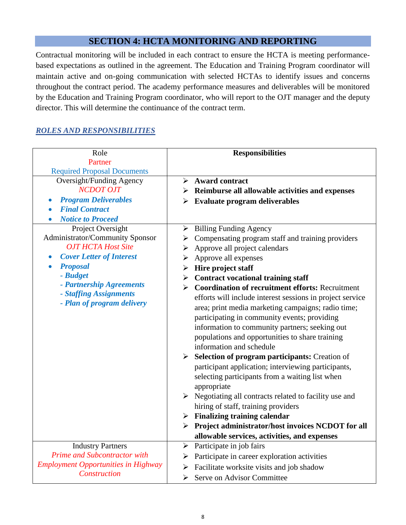# **SECTION 4: HCTA MONITORING AND REPORTING**

Contractual monitoring will be included in each contract to ensure the HCTA is meeting performancebased expectations as outlined in the agreement. The Education and Training Program coordinator will maintain active and on-going communication with selected HCTAs to identify issues and concerns throughout the contract period. The academy performance measures and deliverables will be monitored by the Education and Training Program coordinator, who will report to the OJT manager and the deputy director. This will determine the continuance of the contract term.

#### *ROLES AND RESPONSIBILITIES*

| Role                                                                                                                                                                                                                                                                                                                                                                                                                                                          | <b>Responsibilities</b>                                                                                                                                                                                                                                                                                                                                                                                                                                                                                                                                                                                                                                                                                                                                                                                                                                                                                                                                                                                   |
|---------------------------------------------------------------------------------------------------------------------------------------------------------------------------------------------------------------------------------------------------------------------------------------------------------------------------------------------------------------------------------------------------------------------------------------------------------------|-----------------------------------------------------------------------------------------------------------------------------------------------------------------------------------------------------------------------------------------------------------------------------------------------------------------------------------------------------------------------------------------------------------------------------------------------------------------------------------------------------------------------------------------------------------------------------------------------------------------------------------------------------------------------------------------------------------------------------------------------------------------------------------------------------------------------------------------------------------------------------------------------------------------------------------------------------------------------------------------------------------|
|                                                                                                                                                                                                                                                                                                                                                                                                                                                               |                                                                                                                                                                                                                                                                                                                                                                                                                                                                                                                                                                                                                                                                                                                                                                                                                                                                                                                                                                                                           |
| Partner<br><b>Required Proposal Documents</b><br><b>Oversight/Funding Agency</b><br><b>NCDOT OJT</b><br><b>Program Deliverables</b><br><b>Final Contract</b><br><b>Notice to Proceed</b><br>Project Oversight<br>Administrator/Community Sponsor<br><b>OJT HCTA Host Site</b><br><b>Cover Letter of Interest</b><br>$\bullet$<br><b>Proposal</b><br>$\bullet$<br>- Budget<br>- Partnership Agreements<br>- Staffing Assignments<br>- Plan of program delivery | <b>Award contract</b><br>➤<br>$\triangleright$ Reimburse all allowable activities and expenses<br>$\triangleright$ Evaluate program deliverables<br><b>Billing Funding Agency</b><br>➤<br>Compensating program staff and training providers<br>➤<br>$\triangleright$ Approve all project calendars<br>$\triangleright$ Approve all expenses<br>$\triangleright$ Hire project staff<br>$\triangleright$ Contract vocational training staff<br><b>Coordination of recruitment efforts: Recruitment</b><br>➤<br>efforts will include interest sessions in project service<br>area; print media marketing campaigns; radio time;<br>participating in community events; providing<br>information to community partners; seeking out<br>populations and opportunities to share training<br>information and schedule<br>$\triangleright$ Selection of program participants: Creation of<br>participant application; interviewing participants,<br>selecting participants from a waiting list when<br>appropriate |
|                                                                                                                                                                                                                                                                                                                                                                                                                                                               | $\triangleright$ Negotiating all contracts related to facility use and<br>hiring of staff, training providers<br>$\triangleright$ Finalizing training calendar                                                                                                                                                                                                                                                                                                                                                                                                                                                                                                                                                                                                                                                                                                                                                                                                                                            |
|                                                                                                                                                                                                                                                                                                                                                                                                                                                               | > Project administrator/host invoices NCDOT for all                                                                                                                                                                                                                                                                                                                                                                                                                                                                                                                                                                                                                                                                                                                                                                                                                                                                                                                                                       |
|                                                                                                                                                                                                                                                                                                                                                                                                                                                               | allowable services, activities, and expenses                                                                                                                                                                                                                                                                                                                                                                                                                                                                                                                                                                                                                                                                                                                                                                                                                                                                                                                                                              |
| <b>Industry Partners</b>                                                                                                                                                                                                                                                                                                                                                                                                                                      | Participate in job fairs<br>$\blacktriangleright$                                                                                                                                                                                                                                                                                                                                                                                                                                                                                                                                                                                                                                                                                                                                                                                                                                                                                                                                                         |
| Prime and Subcontractor with                                                                                                                                                                                                                                                                                                                                                                                                                                  | Participate in career exploration activities                                                                                                                                                                                                                                                                                                                                                                                                                                                                                                                                                                                                                                                                                                                                                                                                                                                                                                                                                              |
| <b>Employment Opportunities in Highway</b>                                                                                                                                                                                                                                                                                                                                                                                                                    | Facilitate worksite visits and job shadow<br>➤                                                                                                                                                                                                                                                                                                                                                                                                                                                                                                                                                                                                                                                                                                                                                                                                                                                                                                                                                            |
| Construction                                                                                                                                                                                                                                                                                                                                                                                                                                                  | Serve on Advisor Committee<br>≻                                                                                                                                                                                                                                                                                                                                                                                                                                                                                                                                                                                                                                                                                                                                                                                                                                                                                                                                                                           |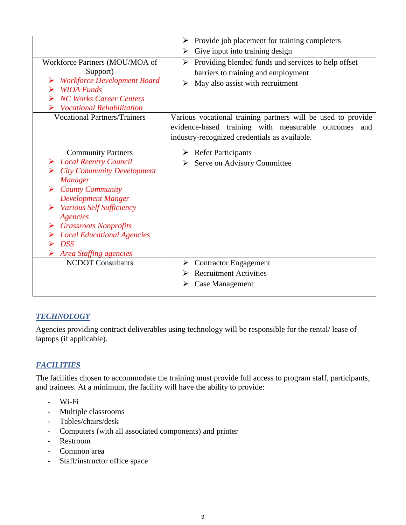|                                                                                                                                                                                                                                                                                                                                             | Provide job placement for training completers<br>➤                                                                                                                                                                                                                                                                   |
|---------------------------------------------------------------------------------------------------------------------------------------------------------------------------------------------------------------------------------------------------------------------------------------------------------------------------------------------|----------------------------------------------------------------------------------------------------------------------------------------------------------------------------------------------------------------------------------------------------------------------------------------------------------------------|
|                                                                                                                                                                                                                                                                                                                                             | Give input into training design                                                                                                                                                                                                                                                                                      |
| Workforce Partners (MOU/MOA of<br>Support)<br><b>Workforce Development Board</b><br><b>WIOA Funds</b><br><b>NC Works Career Centers</b><br><b>Vocational Rehabilitation</b><br><b>Vocational Partners/Trainers</b>                                                                                                                          | Providing blended funds and services to help offset<br>➤<br>barriers to training and employment<br>May also assist with recruitment<br>➤<br>Various vocational training partners will be used to provide<br>evidence-based training with measurable outcomes<br>and<br>industry-recognized credentials as available. |
| <b>Community Partners</b><br><b>Local Reentry Council</b><br><b>City Community Development</b><br><b>Manager</b><br><b>County Community</b><br><b>Development Manger</b><br><b>Various Self Sufficiency</b><br><b>Agencies</b><br><b>Grassroots Nonprofits</b><br><b>Local Educational Agencies</b><br><b>DSS</b><br>Area Staffing agencies | $\triangleright$ Refer Participants<br>Serve on Advisory Committee                                                                                                                                                                                                                                                   |
| <b>NCDOT</b> Consultants                                                                                                                                                                                                                                                                                                                    | $\triangleright$ Contractor Engagement                                                                                                                                                                                                                                                                               |
|                                                                                                                                                                                                                                                                                                                                             | <b>Recruitment Activities</b>                                                                                                                                                                                                                                                                                        |
|                                                                                                                                                                                                                                                                                                                                             | Case Management<br>➤                                                                                                                                                                                                                                                                                                 |

# *TECHNOLOGY*

Agencies providing contract deliverables using technology will be responsible for the rental/ lease of laptops (if applicable).

# *FACILITIES*

The facilities chosen to accommodate the training must provide full access to program staff, participants, and trainees. At a minimum, the facility will have the ability to provide:

- Wi-Fi
- Multiple classrooms
- Tables/chairs/desk
- Computers (with all associated components) and printer
- Restroom
- Common area
- Staff/instructor office space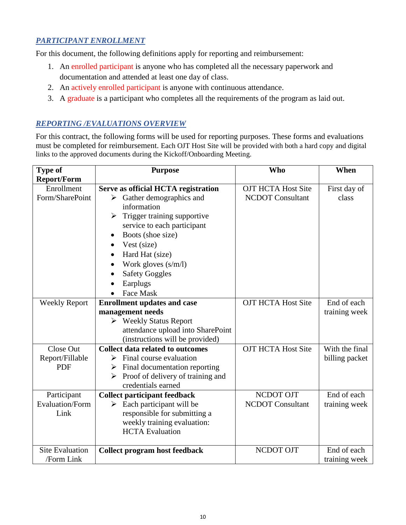# *PARTICIPANT ENROLLMENT*

For this document, the following definitions apply for reporting and reimbursement:

- 1. An enrolled participant is anyone who has completed all the necessary paperwork and documentation and attended at least one day of class.
- 2. An actively enrolled participant is anyone with continuous attendance.
- 3. A graduate is a participant who completes all the requirements of the program as laid out.

#### *REPORTING /EVALUATIONS OVERVIEW*

For this contract, the following forms will be used for reporting purposes. These forms and evaluations must be completed for reimbursement. Each OJT Host Site will be provided with both a hard copy and digital links to the approved documents during the Kickoff/Onboarding Meeting.

| <b>Type of</b>         | <b>Purpose</b>                            | <b>Who</b>                | When           |  |
|------------------------|-------------------------------------------|---------------------------|----------------|--|
| <b>Report/Form</b>     |                                           |                           |                |  |
| Enrollment             | Serve as official HCTA registration       | <b>OJT HCTA Host Site</b> | First day of   |  |
| Form/SharePoint        | Gather demographics and<br>≻              | <b>NCDOT</b> Consultant   | class          |  |
|                        | information                               |                           |                |  |
|                        | Trigger training supportive               |                           |                |  |
|                        | service to each participant               |                           |                |  |
|                        | Boots (shoe size)<br>$\bullet$            |                           |                |  |
|                        | Vest (size)<br>$\bullet$                  |                           |                |  |
|                        | Hard Hat (size)<br>$\bullet$              |                           |                |  |
|                        | Work gloves $(s/m/l)$                     |                           |                |  |
|                        | <b>Safety Goggles</b>                     |                           |                |  |
|                        | Earplugs                                  |                           |                |  |
|                        | <b>Face Mask</b>                          |                           |                |  |
| <b>Weekly Report</b>   | <b>Enrollment updates and case</b>        | <b>OJT HCTA Host Site</b> | End of each    |  |
|                        | management needs                          |                           | training week  |  |
|                        | ▶ Weekly Status Report                    |                           |                |  |
|                        | attendance upload into SharePoint         |                           |                |  |
|                        | (instructions will be provided)           |                           |                |  |
| Close Out              | <b>Collect data related to outcomes</b>   | <b>OJT HCTA Host Site</b> | With the final |  |
| Report/Fillable        | Final course evaluation<br>➤              |                           | billing packet |  |
| <b>PDF</b>             | Final documentation reporting<br>➤        |                           |                |  |
|                        | Proof of delivery of training and<br>➤    |                           |                |  |
|                        | credentials earned                        |                           |                |  |
| Participant            | <b>Collect participant feedback</b>       | NCDOT OJT                 | End of each    |  |
| <b>Evaluation/Form</b> | $\triangleright$ Each participant will be | <b>NCDOT</b> Consultant   | training week  |  |
| Link                   | responsible for submitting a              |                           |                |  |
|                        | weekly training evaluation:               |                           |                |  |
|                        | <b>HCTA</b> Evaluation                    |                           |                |  |
| <b>Site Evaluation</b> |                                           | NCDOT OJT                 | End of each    |  |
| /Form Link             | <b>Collect program host feedback</b>      |                           | training week  |  |
|                        |                                           |                           |                |  |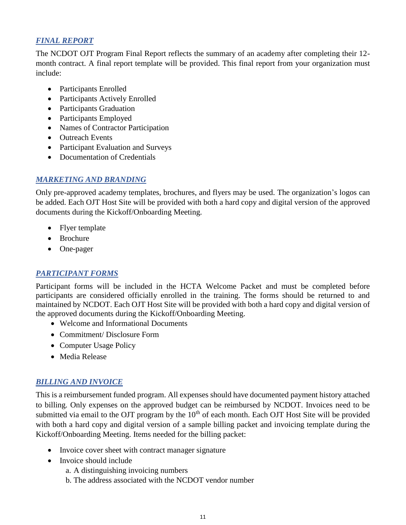#### *FINAL REPORT*

The NCDOT OJT Program Final Report reflects the summary of an academy after completing their 12 month contract. A final report template will be provided. This final report from your organization must include:

- Participants Enrolled
- Participants Actively Enrolled
- Participants Graduation
- Participants Employed
- Names of Contractor Participation
- Outreach Events
- Participant Evaluation and Surveys
- Documentation of Credentials

#### *MARKETING AND BRANDING*

Only pre-approved academy templates, brochures, and flyers may be used. The organization's logos can be added. Each OJT Host Site will be provided with both a hard copy and digital version of the approved documents during the Kickoff/Onboarding Meeting.

- Flyer template
- Brochure
- One-pager

# *PARTICIPANT FORMS*

Participant forms will be included in the HCTA Welcome Packet and must be completed before participants are considered officially enrolled in the training. The forms should be returned to and maintained by NCDOT. Each OJT Host Site will be provided with both a hard copy and digital version of the approved documents during the Kickoff/Onboarding Meeting.

- Welcome and Informational Documents
- Commitment/Disclosure Form
- Computer Usage Policy
- Media Release

# *BILLING AND INVOICE*

This is a reimbursement funded program. All expenses should have documented payment history attached to billing. Only expenses on the approved budget can be reimbursed by NCDOT. Invoices need to be submitted via email to the OJT program by the 10<sup>th</sup> of each month. Each OJT Host Site will be provided with both a hard copy and digital version of a sample billing packet and invoicing template during the Kickoff/Onboarding Meeting. Items needed for the billing packet:

- Invoice cover sheet with contract manager signature
- Invoice should include
	- a. A distinguishing invoicing numbers
	- b. The address associated with the NCDOT vendor number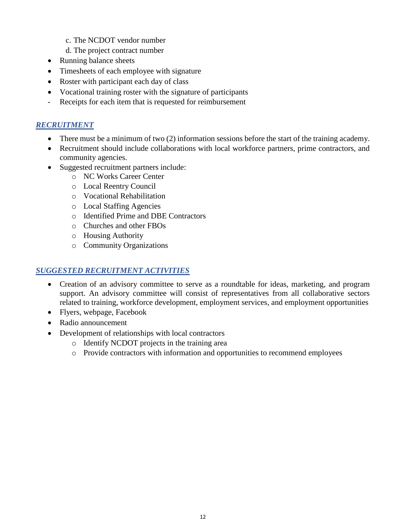- c. The NCDOT vendor number
- d. The project contract number
- Running balance sheets
- Timesheets of each employee with signature
- Roster with participant each day of class
- Vocational training roster with the signature of participants
- Receipts for each item that is requested for reimbursement

# *RECRUITMENT*

- There must be a minimum of two (2) information sessions before the start of the training academy.
- Recruitment should include collaborations with local workforce partners, prime contractors, and community agencies.
- Suggested recruitment partners include:
	- o NC Works Career Center
	- o Local Reentry Council
	- o Vocational Rehabilitation
	- o Local Staffing Agencies
	- o Identified Prime and DBE Contractors
	- o Churches and other FBOs
	- o Housing Authority
	- o Community Organizations

#### *SUGGESTED RECRUITMENT ACTIVITIES*

- Creation of an advisory committee to serve as a roundtable for ideas, marketing, and program support. An advisory committee will consist of representatives from all collaborative sectors related to training, workforce development, employment services, and employment opportunities
- Flyers, webpage, Facebook
- Radio announcement
- Development of relationships with local contractors
	- o Identify NCDOT projects in the training area
	- o Provide contractors with information and opportunities to recommend employees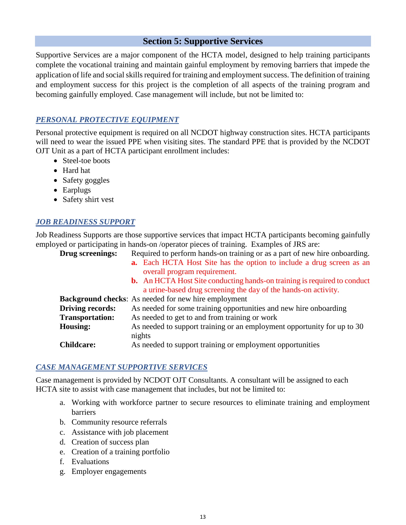# **Section 5: Supportive Services**

Supportive Services are a major component of the HCTA model, designed to help training participants complete the vocational training and maintain gainful employment by removing barriers that impede the application of life and social skills required for training and employment success. The definition of training and employment success for this project is the completion of all aspects of the training program and becoming gainfully employed. Case management will include, but not be limited to:

#### *PERSONAL PROTECTIVE EQUIPMENT*

Personal protective equipment is required on all NCDOT highway construction sites. HCTA participants will need to wear the issued PPE when visiting sites. The standard PPE that is provided by the NCDOT OJT Unit as a part of HCTA participant enrollment includes:

- Steel-toe boots
- Hard hat
- Safety goggles
- Earplugs
- Safety shirt vest

#### *JOB READINESS SUPPORT*

Job Readiness Supports are those supportive services that impact HCTA participants becoming gainfully employed or participating in hands-on /operator pieces of training. Examples of JRS are:

| Drug screenings:        | Required to perform hands-on training or as a part of new hire onboarding.      |  |  |
|-------------------------|---------------------------------------------------------------------------------|--|--|
|                         | a. Each HCTA Host Site has the option to include a drug screen as an            |  |  |
|                         | overall program requirement.                                                    |  |  |
|                         | <b>b.</b> An HCTA Host Site conducting hands-on training is required to conduct |  |  |
|                         | a urine-based drug screening the day of the hands-on activity.                  |  |  |
|                         | <b>Background checks:</b> As needed for new hire employment                     |  |  |
| <b>Driving records:</b> | As needed for some training opportunities and new hire onboarding               |  |  |
| <b>Transportation:</b>  | As needed to get to and from training or work                                   |  |  |
| <b>Housing:</b>         | As needed to support training or an employment opportunity for up to 30         |  |  |
|                         | nights                                                                          |  |  |
| <b>Childcare:</b>       | As needed to support training or employment opportunities                       |  |  |

#### *CASE MANAGEMENT SUPPORTIVE SERVICES*

Case management is provided by NCDOT OJT Consultants. A consultant will be assigned to each HCTA site to assist with case management that includes, but not be limited to:

- a. Working with workforce partner to secure resources to eliminate training and employment barriers
- b. Community resource referrals
- c. Assistance with job placement
- d. Creation of success plan
- e. Creation of a training portfolio
- f. Evaluations
- g. Employer engagements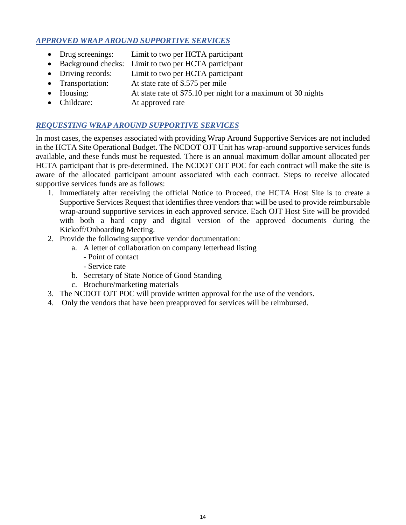# *APPROVED WRAP AROUND SUPPORTIVE SERVICES*

- Drug screenings: Limit to two per HCTA participant
- Background checks: Limit to two per HCTA participant
- Driving records: Limit to two per HCTA participant
- Transportation: At state rate of \$.575 per mile
- Housing: At state rate of \$75.10 per night for a maximum of 30 nights
- Childcare: At approved rate

# *REQUESTING WRAP AROUND SUPPORTIVE SERVICES*

In most cases, the expenses associated with providing Wrap Around Supportive Services are not included in the HCTA Site Operational Budget. The NCDOT OJT Unit has wrap-around supportive services funds available, and these funds must be requested. There is an annual maximum dollar amount allocated per HCTA participant that is pre-determined. The NCDOT OJT POC for each contract will make the site is aware of the allocated participant amount associated with each contract. Steps to receive allocated supportive services funds are as follows:

- 1. Immediately after receiving the official Notice to Proceed, the HCTA Host Site is to create a Supportive Services Request that identifies three vendors that will be used to provide reimbursable wrap-around supportive services in each approved service. Each OJT Host Site will be provided with both a hard copy and digital version of the approved documents during the Kickoff/Onboarding Meeting.
- 2. Provide the following supportive vendor documentation:
	- a. A letter of collaboration on company letterhead listing
		- Point of contact
		- Service rate
	- b. Secretary of State Notice of Good Standing
	- c. Brochure/marketing materials
- 3. The NCDOT OJT POC will provide written approval for the use of the vendors.
- 4. Only the vendors that have been preapproved for services will be reimbursed.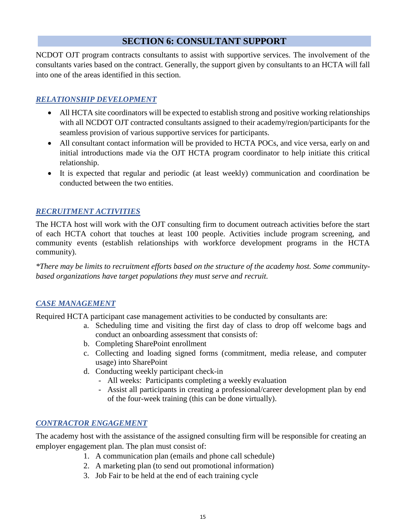# **SECTION 6: CONSULTANT SUPPORT**

NCDOT OJT program contracts consultants to assist with supportive services. The involvement of the consultants varies based on the contract. Generally, the support given by consultants to an HCTA will fall into one of the areas identified in this section.

# *RELATIONSHIP DEVELOPMENT*

- All HCTA site coordinators will be expected to establish strong and positive working relationships with all NCDOT OJT contracted consultants assigned to their academy/region/participants for the seamless provision of various supportive services for participants.
- All consultant contact information will be provided to HCTA POCs, and vice versa, early on and initial introductions made via the OJT HCTA program coordinator to help initiate this critical relationship.
- It is expected that regular and periodic (at least weekly) communication and coordination be conducted between the two entities.

# *RECRUITMENT ACTIVITIES*

The HCTA host will work with the OJT consulting firm to document outreach activities before the start of each HCTA cohort that touches at least 100 people. Activities include program screening, and community events (establish relationships with workforce development programs in the HCTA community).

*\*There may be limits to recruitment efforts based on the structure of the academy host. Some communitybased organizations have target populations they must serve and recruit.* 

#### *CASE MANAGEMENT*

Required HCTA participant case management activities to be conducted by consultants are:

- a. Scheduling time and visiting the first day of class to drop off welcome bags and conduct an onboarding assessment that consists of:
- b. Completing SharePoint enrollment
- c. Collecting and loading signed forms (commitment, media release, and computer usage) into SharePoint
- d. Conducting weekly participant check-in
	- All weeks: Participants completing a weekly evaluation
	- Assist all participants in creating a professional/career development plan by end of the four-week training (this can be done virtually).

# *CONTRACTOR ENGAGEMENT*

The academy host with the assistance of the assigned consulting firm will be responsible for creating an employer engagement plan. The plan must consist of:

- 1. A communication plan (emails and phone call schedule)
- 2. A marketing plan (to send out promotional information)
- 3. Job Fair to be held at the end of each training cycle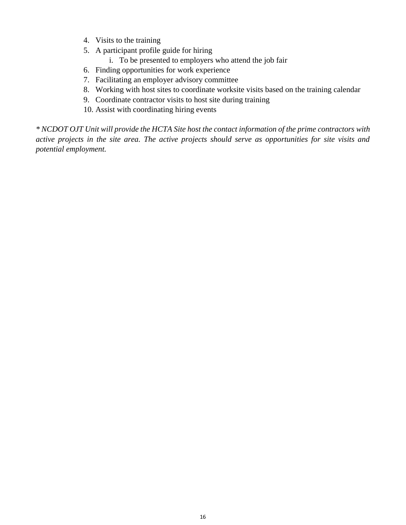- 4. Visits to the training
- 5. A participant profile guide for hiring
	- i. To be presented to employers who attend the job fair
- 6. Finding opportunities for work experience
- 7. Facilitating an employer advisory committee
- 8. Working with host sites to coordinate worksite visits based on the training calendar
- 9. Coordinate contractor visits to host site during training
- 10. Assist with coordinating hiring events

*\* NCDOT OJT Unit will provide the HCTA Site host the contact information of the prime contractors with active projects in the site area. The active projects should serve as opportunities for site visits and potential employment.*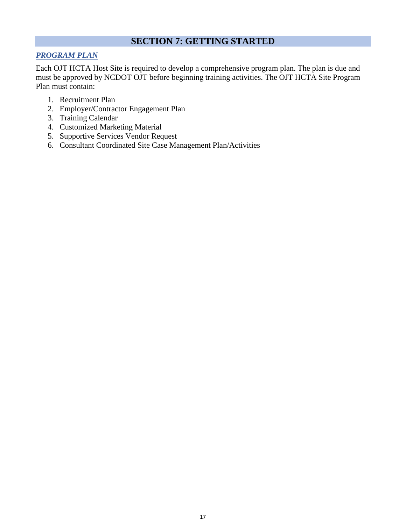# **SECTION 7: GETTING STARTED**

# *PROGRAM PLAN*

Each OJT HCTA Host Site is required to develop a comprehensive program plan. The plan is due and must be approved by NCDOT OJT before beginning training activities. The OJT HCTA Site Program Plan must contain:

- 1. Recruitment Plan
- 2. Employer/Contractor Engagement Plan
- 3. Training Calendar
- 4. Customized Marketing Material
- 5. Supportive Services Vendor Request
- 6. Consultant Coordinated Site Case Management Plan/Activities